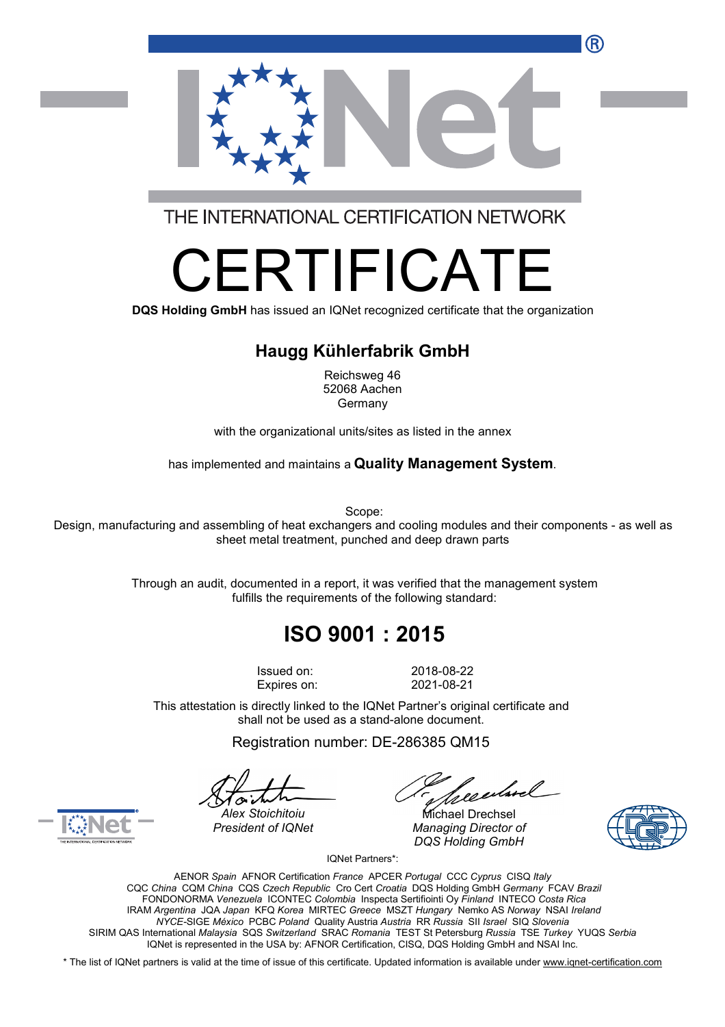

THE INTERNATIONAL CERTIFICATION NETWORK

# RTIFICA

**DQS Holding GmbH** has issued an IQNet recognized certificate that the organization

#### **Haugg Kühlerfabrik GmbH**

Reichsweg 46 52068 Aachen Germany

with the organizational units/sites as listed in the annex

has implemented and maintains a **Quality Management System**.

Scope:

Design, manufacturing and assembling of heat exchangers and cooling modules and their components - as well as sheet metal treatment, punched and deep drawn parts

> Through an audit, documented in a report, it was verified that the management system fulfills the requirements of the following standard:

## **ISO 9001 : 2015**

Issued on: 2018-08-22 Expires on: 2021-08-21

This attestation is directly linked to the IQNet Partner's original certificate and shall not be used as a stand-alone document.

Registration number: DE-286385 QM15

*President of IQNet Managing Director of DQS Holding GmbH*





*Alex Stoichitoiu* Michael Drechsel

IQNet Partners\*:

AENOR *Spain* AFNOR Certification *France* APCER *Portugal* CCC *Cyprus* CISQ *Italy* CQC *China* CQM *China* CQS *Czech Republic* Cro Cert *Croatia* DQS Holding GmbH *Germany* FCAV *Brazil* FONDONORMA *Venezuela* ICONTEC *Colombia* Inspecta Sertifiointi Oy *Finland* INTECO *Costa Rica* IRAM *Argentina* JQA *Japan* KFQ *Korea* MIRTEC *Greece* MSZT *Hungary* Nemko AS *Norway* NSAI *Ireland NYCE-*SIGE *México* PCBC *Poland* Quality Austria *Austria* RR *Russia* SII *Israel* SIQ *Slovenia* SIRIM QAS International *Malaysia* SQS *Switzerland* SRAC *Romania* TEST St Petersburg *Russia* TSE *Turkey* YUQS *Serbia* IQNet is represented in the USA by: AFNOR Certification, CISQ, DQS Holding GmbH and NSAI Inc.

\* The list of IQNet partners is valid at the time of issue of this certificate. Updated information is available under [www.iqnet-certification.com](http://www.iqnet-certification.com)